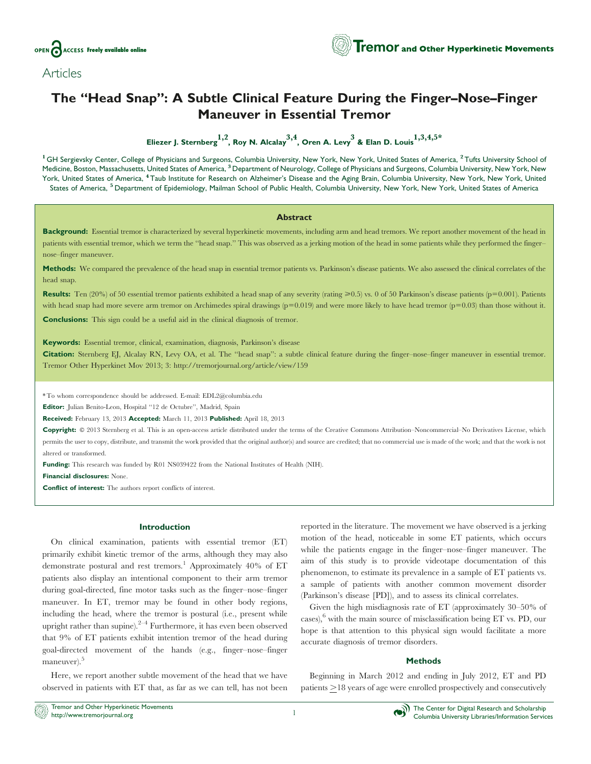



# The ''Head Snap'': A Subtle Clinical Feature During the Finger–Nose–Finger Maneuver in Essential Tremor

Eliezer J. Sternberg<sup>1,2</sup>, Roy N. Alcalay<sup>3,4</sup>, Oren A. Levy<sup>3</sup> & Elan D. Louis<sup>1,3,4,5\*</sup>

<sup>1</sup> GH Sergievsky Center, College of Physicians and Surgeons, Columbia University, New York, New York, United States of America, <sup>2</sup> Tufts University School of Medicine, Boston, Massachusetts, United States of America, <sup>3</sup> Department of Neurology, College of Physicians and Surgeons, Columbia University, New York, New York, United States of America, <sup>4</sup> Taub Institute for Research on Alzheimer's Disease and the Aging Brain, Columbia University, New York, New York, United States of America, <sup>5</sup> Department of Epidemiology, Mailman School of Public Health, Columbia University, New York, New York, United States of America

#### Abstract

Background: Essential tremor is characterized by several hyperkinetic movements, including arm and head tremors. We report another movement of the head in patients with essential tremor, which we term the "head snap." This was observed as a jerking motion of the head in some patients while they performed the fingernose–finger maneuver.

Methods: We compared the prevalence of the head snap in essential tremor patients vs. Parkinson's disease patients. We also assessed the clinical correlates of the head snap.

**Results:** Ten (20%) of 50 essential tremor patients exhibited a head snap of any severity (rating  $\geq 0.5$ ) vs. 0 of 50 Parkinson's disease patients (p=0.001). Patients with head snap had more severe arm tremor on Archimedes spiral drawings  $(p=0.019)$  and were more likely to have head tremor  $(p=0.03)$  than those without it. Conclusions: This sign could be a useful aid in the clinical diagnosis of tremor.

Keywords: Essential tremor, clinical, examination, diagnosis, Parkinson's disease

Citation: Sternberg EJ, Alcalay RN, Levy OA, et al. The "head snap": a subtle clinical feature during the finger–nose–finger maneuver in essential tremor. Tremor Other Hyperkinet Mov 2013; 3:<http://tremorjournal.org/article/view/159>

\* To whom correspondence should be addressed. E-mail: EDL2@columbia.edu

Editor: Julian Benito-Leon, Hospital "12 de Octubre", Madrid, Spain

Received: February 13, 2013 Accepted: March 11, 2013 Published: April 18, 2013

Copyright:  $@$  2013 Sternberg et al. This is an open-access article distributed under the terms of the Creative Commons Attribution–Noncommercial–No Derivatives License, which permits the user to copy, distribute, and transmit the work provided that the original author(s) and source are credited; that no commercial use is made of the work; and that the work is not altered or transformed.

Funding: This research was funded by R01 NS039422 from the National Institutes of Health (NIH).

Financial disclosures: None.

Conflict of interest: The authors report conflicts of interest.

### Introduction

On clinical examination, patients with essential tremor (ET) primarily exhibit kinetic tremor of the arms, although they may also demonstrate postural and rest tremors.<sup>1</sup> Approximately 40% of  $ET$ patients also display an intentional component to their arm tremor during goal-directed, fine motor tasks such as the finger–nose–finger maneuver. In ET, tremor may be found in other body regions, including the head, where the tremor is postural (i.e., present while upright rather than supine). $2^{-4}$  Furthermore, it has even been observed that 9% of ET patients exhibit intention tremor of the head during goal-directed movement of the hands (e.g., finger–nose–finger maneuver).<sup>5</sup>

Here, we report another subtle movement of the head that we have observed in patients with ET that, as far as we can tell, has not been reported in the literature. The movement we have observed is a jerking motion of the head, noticeable in some ET patients, which occurs while the patients engage in the finger–nose–finger maneuver. The aim of this study is to provide videotape documentation of this phenomenon, to estimate its prevalence in a sample of ET patients vs. a sample of patients with another common movement disorder (Parkinson's disease [PD]), and to assess its clinical correlates.

Given the high misdiagnosis rate of ET (approximately 30–50% of cases), $6$  with the main source of misclassification being ET vs. PD, our hope is that attention to this physical sign would facilitate a more accurate diagnosis of tremor disorders.

### Methods

Beginning in March 2012 and ending in July 2012, ET and PD patients  $>18$  years of age were enrolled prospectively and consecutively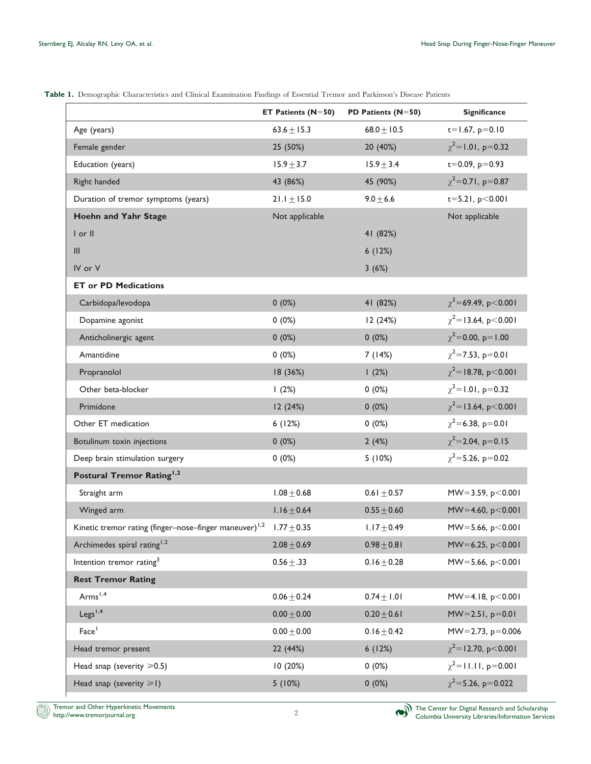<span id="page-1-0"></span>

| Table 1. Demographic Characteristics and Clinical Examination Findings of Essential Tremor and Parkinson's Disease Patients |  |  |  |  |  |  |  |  |  |
|-----------------------------------------------------------------------------------------------------------------------------|--|--|--|--|--|--|--|--|--|
|-----------------------------------------------------------------------------------------------------------------------------|--|--|--|--|--|--|--|--|--|

|                                                                    | ET Patients $(N=50)$ | PD Patients $(N=50)$ | <b>Significance</b>          |
|--------------------------------------------------------------------|----------------------|----------------------|------------------------------|
| Age (years)                                                        | $63.6 \pm 15.3$      | $68.0 \pm 10.5$      | $t = 1.67$ , $p = 0.10$      |
| Female gender                                                      | 25 (50%)             | 20 (40%)             | $\chi^2$ =1.01, p=0.32       |
| Education (years)                                                  | $15.9 \pm 3.7$       | $15.9 \pm 3.4$       | $t = 0.09, p = 0.93$         |
| Right handed                                                       | 43 (86%)             | 45 (90%)             | $\chi^2$ =0.71, p=0.87       |
| Duration of tremor symptoms (years)                                | $21.1 \pm 15.0$      | $9.0 + 6.6$          | $t = 5.21, p < 0.001$        |
| Hoehn and Yahr Stage                                               | Not applicable       |                      | Not applicable               |
| I or II                                                            |                      | 41 (82%)             |                              |
| III                                                                |                      | 6(12%)               |                              |
| IV or V                                                            |                      | 3(6%)                |                              |
| <b>ET or PD Medications</b>                                        |                      |                      |                              |
| Carbidopa/levodopa                                                 | 0(0%)                | 41 (82%)             | $\chi^2$ = 69.49, p < 0.00 l |
| Dopamine agonist                                                   | 0(0%)                | 12 (24%)             | $\chi^2$ = 13.64, p < 0.001  |
| Anticholinergic agent                                              | 0(0%)                | $0(0\%)$             | $\chi^2$ = 0.00, p = 1.00    |
| Amantidine                                                         | 0(0%)                | 7(14%)               | $\chi^2$ = 7.53, p=0.01      |
| Propranolol                                                        | 18 (36%)             | 1(2%)                | $\chi^2$ = 18.78, p < 0.001  |
| Other beta-blocker                                                 | 1(2%)                | $0(0\%)$             | $\chi^2$ = 1.01, p=0.32      |
| Primidone                                                          | 12 (24%)             | 0(0%)                | $\chi^2$ = 13.64, p < 0.001  |
| Other ET medication                                                | 6(12%)               | $0(0\%)$             | $\chi^2$ = 6.38, p=0.01      |
| Botulinum toxin injections                                         | 0(0%)                | 2(4%)                | $\chi^2$ = 2.04, p=0.15      |
| Deep brain stimulation surgery                                     | $0(0\%)$             | 5(10%)               | $\chi^2$ =5.26, p=0.02       |
| Postural Tremor Rating <sup>1,2</sup>                              |                      |                      |                              |
| Straight arm                                                       | $1.08 + 0.68$        | $0.61 \pm 0.57$      | $MW=3.59, p<0.001$           |
| Winged arm                                                         | $1.16 \pm 0.64$      | $0.55 \pm 0.60$      | $MW=4.60, p<0.001$           |
| Kinetic tremor rating (finger-nose-finger maneuver) <sup>1,2</sup> | $1.77 \pm 0.35$      | $1.17 \pm 0.49$      | $MV = 5.66, p < 0.001$       |
| Archimedes spiral rating <sup>1,2</sup>                            | $2.08 + 0.69$        | $0.98 \pm 0.81$      | $MV = 6.25, p < 0.001$       |
| Intention tremor rating <sup>3</sup>                               | $0.56 + .33$         | $0.16 \pm 0.28$      | $MV = 5.66, p < 0.001$       |
| <b>Rest Tremor Rating</b>                                          |                      |                      |                              |
| Arms <sup>1,4</sup>                                                | $0.06 + 0.24$        | $0.74 \pm 1.01$      | $MW=4.18, p<0.001$           |
| Legs <sup>1,4</sup>                                                | $0.00 + 0.00$        | $0.20 + 0.61$        | $MW=2.51, p=0.01$            |
| Face <sup>1</sup>                                                  | $0.00 + 0.00$        | $0.16 \pm 0.42$      | $MV = 2.73, p = 0.006$       |
| Head tremor present                                                | 22 (44%)             | 6(12%)               | $\chi^2$ = 12.70, p < 0.00 l |
| Head snap (severity $\geq 0.5$ )                                   | 10 (20%)             | 0(0%)                | $\chi^2$ = 11.11, p=0.001    |
| Head snap (severity $\geq 1$ )                                     | 5(10%)               | 0(0%)                | $\chi^2$ =5.26, p=0.022      |
|                                                                    |                      |                      |                              |



ð)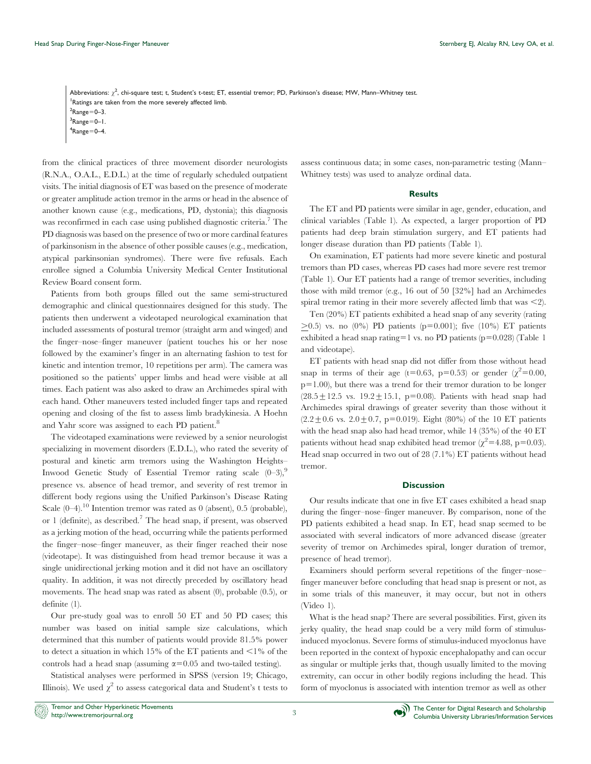Abbreviations:  $\chi^2$ , chi-square test; t, Student's t-test; ET, essential tremor; PD, Parkinson's disease; MW, Mann–Whitney test. Ratings are taken from the more severely affected limb.  $2$ Range=0-3.  $3$ Range=0-1.  $4$ Range=0-4.

from the clinical practices of three movement disorder neurologists (R.N.A., O.A.L., E.D.L.) at the time of regularly scheduled outpatient visits. The initial diagnosis of ET was based on the presence of moderate or greater amplitude action tremor in the arms or head in the absence of another known cause (e.g., medications, PD, dystonia); this diagnosis was reconfirmed in each case using published diagnostic criteria.<sup>7</sup> The PD diagnosis was based on the presence of two or more cardinal features of parkinsonism in the absence of other possible causes (e.g., medication, atypical parkinsonian syndromes). There were five refusals. Each enrollee signed a Columbia University Medical Center Institutional Review Board consent form.

Patients from both groups filled out the same semi-structured demographic and clinical questionnaires designed for this study. The patients then underwent a videotaped neurological examination that included assessments of postural tremor (straight arm and winged) and the finger–nose–finger maneuver (patient touches his or her nose followed by the examiner's finger in an alternating fashion to test for kinetic and intention tremor, 10 repetitions per arm). The camera was positioned so the patients' upper limbs and head were visible at all times. Each patient was also asked to draw an Archimedes spiral with each hand. Other maneuvers tested included finger taps and repeated opening and closing of the fist to assess limb bradykinesia. A Hoehn and Yahr score was assigned to each PD patient.<sup>8</sup>

The videotaped examinations were reviewed by a senior neurologist specializing in movement disorders (E.D.L.), who rated the severity of postural and kinetic arm tremors using the Washington Heights– Inwood Genetic Study of Essential Tremor rating scale  $(0-3)$ ,<sup>9</sup> presence vs. absence of head tremor, and severity of rest tremor in different body regions using the Unified Parkinson's Disease Rating Scale  $(0-4)$ .<sup>10</sup> Intention tremor was rated as 0 (absent), 0.5 (probable), or 1 (definite), as described.<sup>7</sup> The head snap, if present, was observed as a jerking motion of the head, occurring while the patients performed the finger–nose–finger maneuver, as their finger reached their nose (videotape). It was distinguished from head tremor because it was a single unidirectional jerking motion and it did not have an oscillatory quality. In addition, it was not directly preceded by oscillatory head movements. The head snap was rated as absent (0), probable (0.5), or definite (1).

Our pre-study goal was to enroll 50 ET and 50 PD cases; this number was based on initial sample size calculations, which determined that this number of patients would provide 81.5% power to detect a situation in which 15% of the ET patients and  $\leq$ 1% of the controls had a head snap (assuming  $\alpha$ =0.05 and two-tailed testing).

Statistical analyses were performed in SPSS (version 19; Chicago, Illinois). We used  $\chi^2$  to assess categorical data and Student's t tests to assess continuous data; in some cases, non-parametric testing (Mann– Whitney tests) was used to analyze ordinal data.

## **Results**

The ET and PD patients were similar in age, gender, education, and clinical variables [\(Table 1\). As expected, a larger proportion of PD](#page-1-0) [patients had deep brain stimulation surgery, and ET patients had](#page-1-0) [longer disease duration than PD patients \(Table 1\).](#page-1-0)

On examination, ET patients had more severe kinetic and postural tremors than PD cases, whereas PD cases had more severe rest tremor ([Table 1\). Our ET patients had a range of tremor severities, including](#page-1-0) [those with mild tremor \(e.g., 16 out of 50 \[32%\] had an Archimedes](#page-1-0) [spiral tremor rating in their more severely affected limb that was](#page-1-0)  $\leq$ 2).

Ten (20%) ET patients exhibited a head snap of any severity (rating  $>0.5$ ) vs. no (0%) PD patients (p=0.001); five (10%) ET patients exhibited a head snap rating=1 vs. no PD patients ( $p=0.028$ ) [\(Table 1](#page-1-0) [and videotape\).](#page-1-0)

ET patients with head snap did not differ from those without head snap in terms of their age (t=0.63, p=0.53) or gender ( $\chi^2$ =0.00,  $p=1.00$ ), but there was a trend for their tremor duration to be longer  $(28.5 \pm 12.5 \text{ vs. } 19.2 \pm 15.1, \text{ p=0.08}).$  Patients with head snap had Archimedes spiral drawings of greater severity than those without it  $(2.2 \pm 0.6 \text{ vs. } 2.0 \pm 0.7, \text{ p=0.019}).$  Eight (80%) of the 10 ET patients with the head snap also had head tremor, while 14 (35%) of the 40 ET patients without head snap exhibited head tremor ( $\chi^2$ =4.88, p=0.03). Head snap occurred in two out of 28 (7.1%) ET patients without head tremor.

#### **Discussion**

Our results indicate that one in five ET cases exhibited a head snap during the finger–nose–finger maneuver. By comparison, none of the PD patients exhibited a head snap. In ET, head snap seemed to be associated with several indicators of more advanced disease (greater severity of tremor on Archimedes spiral, longer duration of tremor, presence of head tremor).

Examiners should perform several repetitions of the finger–nose– finger maneuver before concluding that head snap is present or not, as in some trials of this maneuver, it may occur, but not in others (Video 1).

What is the head snap? There are several possibilities. First, given its jerky quality, the head snap could be a very mild form of stimulusinduced myoclonus. Severe forms of stimulus-induced myoclonus have been reported in the context of hypoxic encephalopathy and can occur as singular or multiple jerks that, though usually limited to the moving extremity, can occur in other bodily regions including the head. This form of myoclonus is associated with intention tremor as well as other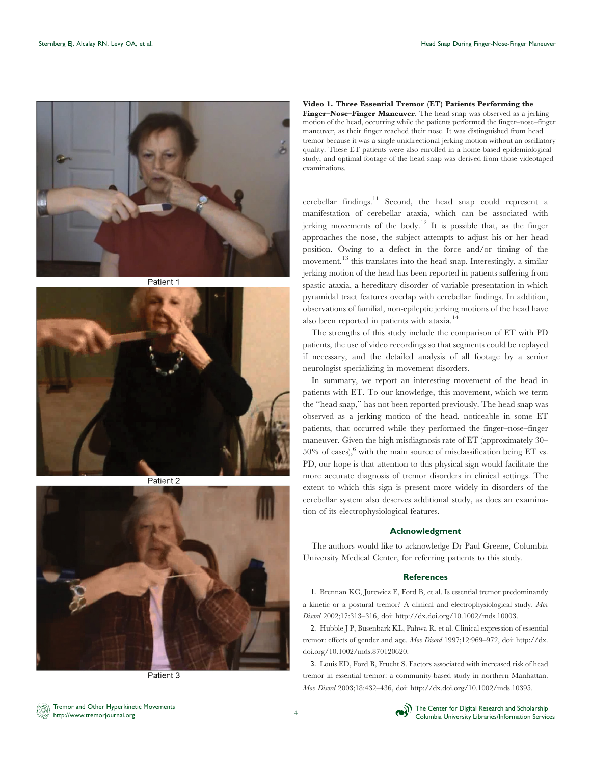

Patient 1



Patient 2



Patient 3

## Video 1. Three Essential Tremor (ET) Patients Performing the

Finger–Nose–Finger Maneuver. The head snap was observed as a jerking motion of the head, occurring while the patients performed the finger–nose–finger maneuver, as their finger reached their nose. It was distinguished from head tremor because it was a single unidirectional jerking motion without an oscillatory quality. These ET patients were also enrolled in a home-based epidemiological study, and optimal footage of the head snap was derived from those videotaped examinations.

cerebellar findings.<sup>11</sup> Second, the head snap could represent a manifestation of cerebellar ataxia, which can be associated with jerking movements of the body.<sup>12</sup> It is possible that, as the finger approaches the nose, the subject attempts to adjust his or her head position. Owing to a defect in the force and/or timing of the movement,  $^{13}$  this translates into the head snap. Interestingly, a similar jerking motion of the head has been reported in patients suffering from spastic ataxia, a hereditary disorder of variable presentation in which pyramidal tract features overlap with cerebellar findings. In addition, observations of familial, non-epileptic jerking motions of the head have also been reported in patients with ataxia.<sup>14</sup>

The strengths of this study include the comparison of ET with PD patients, the use of video recordings so that segments could be replayed if necessary, and the detailed analysis of all footage by a senior neurologist specializing in movement disorders.

In summary, we report an interesting movement of the head in patients with ET. To our knowledge, this movement, which we term the ''head snap,'' has not been reported previously. The head snap was observed as a jerking motion of the head, noticeable in some ET patients, that occurred while they performed the finger–nose–finger maneuver. Given the high misdiagnosis rate of ET (approximately 30– 50% of cases), with the main source of misclassification being ET vs. PD, our hope is that attention to this physical sign would facilitate the more accurate diagnosis of tremor disorders in clinical settings. The extent to which this sign is present more widely in disorders of the cerebellar system also deserves additional study, as does an examination of its electrophysiological features.

## Acknowledgment

The authors would like to acknowledge Dr Paul Greene, Columbia University Medical Center, for referring patients to this study.

## **References**

1. Brennan KC, Jurewicz E, Ford B, et al. Is essential tremor predominantly a kinetic or a postural tremor? A clinical and electrophysiological study. Mov Disord 2002;17:313–316, doi: [http://dx.doi.org/10.1002/mds.10003.](http://dx.doi.org/10.1002%2Fmds.10003)

2. Hubble J P, Busenbark KL, Pahwa R, et al. Clinical expression of essential tremor: effects of gender and age. Mov Disord 1997;12:969-972, doi: [http://dx.](http://dx.doi.org/10.1002%2Fmds.870120620) [doi.org/10.1002/mds.870120620.](http://dx.doi.org/10.1002%2Fmds.870120620)

3. Louis ED, Ford B, Frucht S. Factors associated with increased risk of head tremor in essential tremor: a community-based study in northern Manhattan. Mov Disord 2003;18:432–436, doi: [http://dx.doi.org/10.1002/mds.10395.](http://dx.doi.org/10.1002%2Fmds.10395)